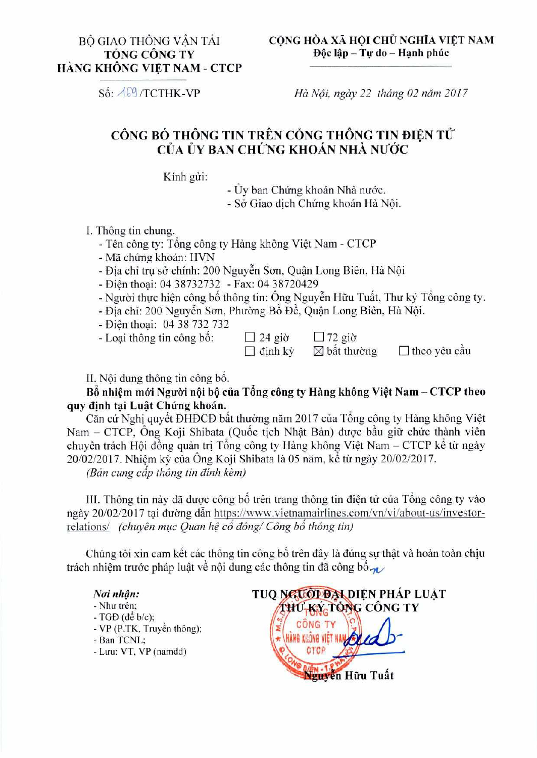**Số:**  $\sqrt{69}$ /TCTHK-VP *Hà Nội, ngày 22 tháng 02 năm 2017* 

## CÔNG BỐ THÔNG TIN TRÊN CỒNG THÔNG TIN ĐIỆN TỬ CUA **UY BAN CH1XNG KHOAN NHA NU'OC**

Kinh gửi:

- Ủy ban Chứng khoán Nhà nước.

- Sở Giao dịch Chứng khoán Hà Nội.

I. Thông tin chung.

- Tên công ty: Tổng công ty Hàng không Việt Nam - CTCP

- Mã chứng khoán: HVN

- Địa chỉ trụ sở chính: 200 Nguyễn Sơn, Quận Long Biên, Hà Nội

- Dien thogi: 04 38732732 - Fax: 04 38720429

- Người thực hiện công bố thông tin: Ông Nguyễn Hữu Tuất, Thư ký Tổng công ty.

- Đia chi: 200 Nguyễn Sơn, Phường Bồ Đề, Quân Long Biên, Hà Nội.

- Diên thoai: 04 38 732 732

- Loại thông tin công bố:  $\Box$  24 giờ  $\Box$  72 giờ  $\Box$  định kỳ  $\boxtimes$  bất thường
	-

 $\Box$  dinh kỳ  $\Box$  bất thường  $\Box$  theo yêu cầu

II. Nội dung thông tin công bổ.

Bổ nhiệm mới Người nội bộ của Tổng công ty Hàng không Việt Nam – CTCP theo **quy dinh tai Lust Chirng khoan.** 

Căn cứ Nghị quyết ĐHĐCĐ bất thường năm 2017 của Tổng công ty Hàng không Việt Nam – CTCP, Ông Koji Shibata (Quốc tịch Nhật Bản) được bầu giữ chức thành viên chuyên trách Hội đồng quản trị Tổng công ty Hàng không Việt Nam - CTCP kể từ ngày  $20/02/2017$ . Nhiệm kỳ của Ông Koji Shibata là 05 năm, kể từ ngày 20/02/2017.

*(Ban cung cap thong tin dinh kern)* 

III. Thông tin này đã được công bố trên trang thông tin điện tử của Tổng công ty vào ngày 20/02/2017 tai đường dẫn https://www.vietnamairlines.com/vn/vi/about-us/investorrelations/ *(chuyên muc Quan hệ cổ đông/ Công bổ thông tin)* 

Chúng tôi xin cam kết các thông tin công bố trên đây là đúng sự thật và hoàn toàn chịu trách nhiệm trước pháp luật về nội dung các thông tin đã công bố

## *Noi nhem:*

- Như trên;
- $-$  TGD (de b/c);
- VP (P.TK, Truyền thông);
- Ban TCNL;
- Luu: VT, VP (namdd)

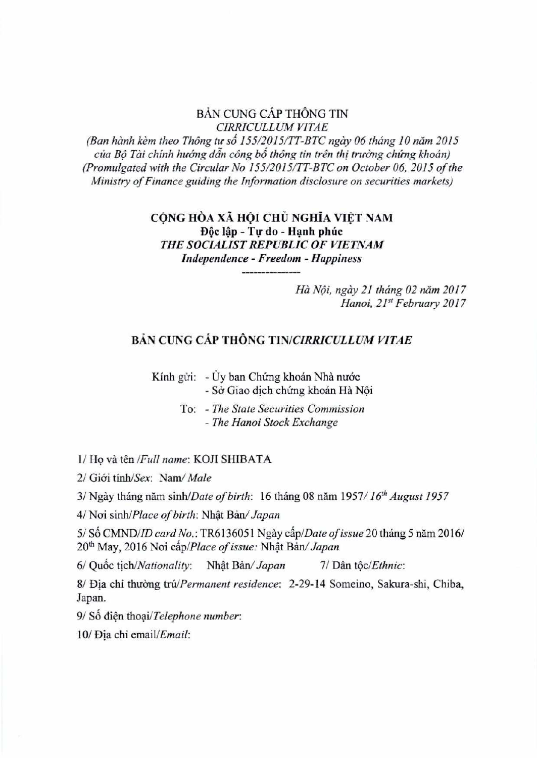**BAN CUNG CAP THONG TIN**  *CIRRICULLUM VITAE* 

*(Ban hành kèm theo Thông tư số 155/2015/TT-BTC ngày 06 tháng 10 năm 2015* của Bô Tài chính hướng dẫn công bố thông tin trên thị trường chứng khoán) *(Promulgated with the Circular No 155/2015/77-BTC on October 06, 2015 of the Ministry of Finance guiding the Information disclosure on securities markets)* 

> **CỘNG HÒA XÃ HỘI CHỦ NGHĨA VIỆT NAM** BQc lap **- Tv do - Hph phtic**  *THE SOCIALIST REPUBLIC OF VIETNAM Independence - Freedom - Happiness*

> > *Ha N6i, ngay 21 thang 02 Mtn 2017 Hanoi, 21' February 2017*

## **BÁN CUNG CÁP THÔNG TIN/CIRRICULLUM VITAE**

Kính gửi: - Ủy ban Chứng khoán Nhà nước **- Sel Giao dich chirng khoan Ha NOi** 

> **To: -** *The State Securities Commission - The Hanoi Stock Exchange*

**1/ HQ va** *ten /Full name:* **KOJI** SHIBATA

**2/ Gkri tinh/Sex:** *Nam/ Male* 

**3/ Ngay thang nom** *sinh/Date of birth:* **16 thang 08 nom 1957/** *16th August 1957* 

4/ Nơi sinh/Place of birth: Nhật Bản/ Japan

5/ Số CMND/*ID card No.:* TR6136051 Ngày cấp/*Date of issue* 20 tháng 5 năm 2016/ **20thMay, 2016 Nai** *cap/Place of issue: Nhat Ban/ Japan* 

**6/ Quirk** *tichlNationality: Nhat Ban/ Japan* **7/ Dan** *tOclEthnic:* 

**8/ Dia chi thuang** *tralPermanent residence:* **2-29-14 Someino,** Sakura-shi, Chiba, **Japan.** 

9/ Số điện thoại/Telephone number:

*10/* **Dia chi** *email/Email:*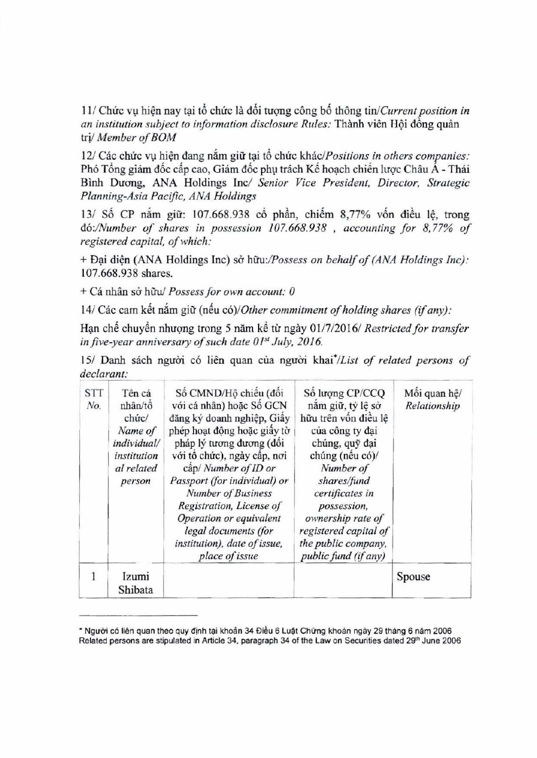11/ Chức vu hiện nay tai tổ chức là đối tương công bố thông tin/*Current position in an institution subject to information disclosure Rules:* Thành viên Hội đồng quản tri/ *Member of BOM* 

12/ Các chức vụ hiện đang nắm giữ tại tổ chức khác/*Positions in others companies*: Phó Tổng giám đốc cấp cao, Giám đốc phụ trách Kế hoạch chiến lược Châu Á - Thái Binh Ducmg, ANA Holdings Inc/ *Senior Vice President, Director, Strategic Planning-Asia Pacific, ANA Holdings* 

13/ Số CP năm giữ: 107.668.938 cổ phần, chiếm 8,77% vốn điều lệ, trong *do:/Number of shares in possession 107.668.938 , accounting for 8,77% of registered capital, of which:* 

*+ Dai diện (ANA Holdings Inc) sở hữu:/Possess on behalf of (ANA Holdings Inc):* 107.668.938 shares.

+ Cá nhân sở hữu/ Possess for own account: 0

14/ Các cam kết nắm giữ (nếu có)/*Other commitment of holding shares (if any)*:

Han chế chuyển nhượng trong 5 năm kể từ ngày 01/7/2016/ *Restricted for transfer in five-year anniversary of such date 01st July, 2016.* 

15/ Danh sách người có liên quan của người khai<sup>\*</sup>/List of related persons of *declarant:* 

| <b>STT</b><br>No. | Tên cá<br>nhân/tô<br>chức/<br>Name of<br>individual/<br>institution<br>al related<br>person | Số CMND/Hộ chiếu (đối<br>với cá nhân) hoặc Số GCN<br>đăng ký doanh nghiệp, Giấy<br>phép hoạt động hoặc giấy tờ<br>pháp lý tương đương (đối<br>với tô chức), ngày cấp, nơi<br>câp/ Number of ID or<br>Passport (for individual) or<br>Number of Business<br>Registration, License of<br>Operation or equivalent<br>legal documents (for<br>institution), date of issue,<br>place of issue | Số lượng CP/CCQ<br>năm giữ, tỷ lệ sở<br>hữu trên vốn điều lệ<br>của công ty đại<br>chúng, quỹ đại<br>chúng (nếu có)/<br>Number of<br>shares/fund<br>certificates in<br>possession,<br>ownership rate of<br>registered capital of<br>the public company,<br>public fund (if any) | Mối quan hệ/<br>Relationship |
|-------------------|---------------------------------------------------------------------------------------------|------------------------------------------------------------------------------------------------------------------------------------------------------------------------------------------------------------------------------------------------------------------------------------------------------------------------------------------------------------------------------------------|---------------------------------------------------------------------------------------------------------------------------------------------------------------------------------------------------------------------------------------------------------------------------------|------------------------------|
| 1                 | Izumi<br>Shibata                                                                            |                                                                                                                                                                                                                                                                                                                                                                                          |                                                                                                                                                                                                                                                                                 | Spouse                       |

\* Người có liên quan theo quy định tại khoản 34 Điều 6 Luật Chứng khoán ngày 29 tháng 6 năm 2006 Related persons are stipulated in Article 34, paragraph 34 of the Law on Securities dated 29<sup>th</sup> June 2006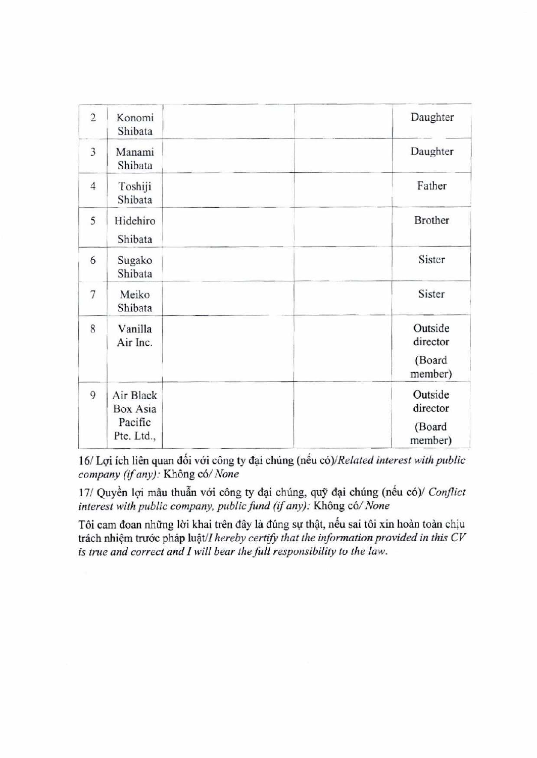| $\overline{2}$ | Konomi<br>Shibata                              | Daughter                                 |
|----------------|------------------------------------------------|------------------------------------------|
| 3              | Manami<br>Shibata                              | Daughter                                 |
| $\overline{4}$ | Toshiji<br>Shibata                             | Father                                   |
| 5              | Hidehiro<br>Shibata                            | <b>Brother</b>                           |
| 6              | Sugako<br>Shibata                              | Sister                                   |
| 7              | Meiko<br>Shibata                               | Sister                                   |
| 8              | Vanilla<br>Air Inc.                            | Outside<br>director<br>(Board<br>member) |
| 9              | Air Black<br>Box Asia<br>Pacific<br>Pte. Ltd., | Outside<br>director<br>(Board<br>member) |

16/ Lợi ích liên quan đối với công ty đại chúng (nếu có)/Related interest with public  $company (if any):$  **Không có/ None** 

17/ Quyền lợi mâu thuẫn với công ty đại chúng, quỹ đại chúng (nếu có)/ Conflict *interest with public company, public fund (if any): Không có/None* 

Tôi cam đoan những lời khai trên đây là đúng sự thật, nếu sai tôi xin hoàn toàn chịu trách nhiệm trước pháp luật/*I hereby certify that the information provided in this CV is true and correct and I will bear the full responsibility to the law.*